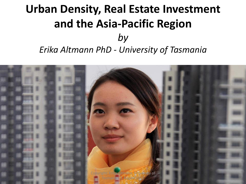# **Urban Density, Real Estate Investment and the Asia-Pacific Region** *by*

*Erika Altmann PhD - University of Tasmania*

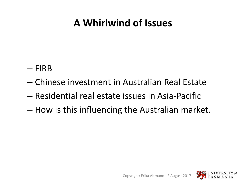## **A Whirlwind of Issues**

- FIRB
- Chinese investment in Australian Real Estate
- Residential real estate issues in Asia-Pacific
- How is this influencing the Australian market.

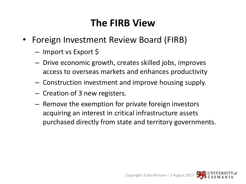## **The FIRB View**

- Foreign Investment Review Board (FIRB)
	- Import vs Export \$
	- Drive economic growth, creates skilled jobs, improves access to overseas markets and enhances productivity
	- Construction investment and improve housing supply.
	- Creation of 3 new registers.
	- Remove the exemption for private foreign investors acquiring an interest in critical infrastructure assets purchased directly from state and territory governments.

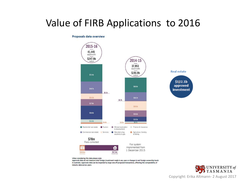## Value of FIRB Applications to 2016

#### Proposals data overview



When considering this data please note:

Approvals data do not measure total foreign investment made in any year or changes in net foreign ownership levels in Australia. Approvals data can be impacted by large one-off proposed transactions, affecting the comparability of industry data across years.

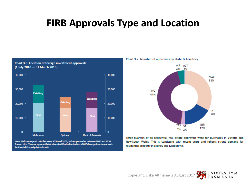### **FIRB Approvals Type and Location**



**Chart 3.3: Location of foreign investment approvals** 

Note: Melbourne postcodes between 3000 and 3207; Sydney postcodes between 2000 and 2234 Source: http://treasury.gov.au/PublicationsAndMedia/Publications/2016/Foreign-Investment-and-Residential-Property-Price-Growth.

Chart 3.2: Number of approvals by State & Territory



Three-quarters of all residential real estate approvals were for purchases in Victoria and New South Wales. This is consistent with recent years and reflects strong demand for residential property in Sydney and Melbourne.



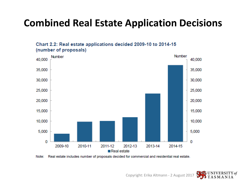## **Combined Real Estate Application Decisions**



Chart 2.2: Real estate applications decided 2009-10 to 2014-15 (number of proposals)

Note: Real estate includes number of proposals decided for commercial and residential real estate.

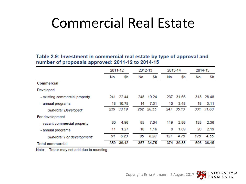# Commercial Real Estate

Table 2.9: Investment in commercial real estate by type of approval and number of proposals approved: 2011-12 to 2014-15

|                                | 2011-12 |           |     | 2012-13   |     | 2013-14   |     | 2014-15   |  |
|--------------------------------|---------|-----------|-----|-----------|-----|-----------|-----|-----------|--|
|                                | No.     | Sb        | No. | \$b       | No. | \$b       | No. | \$b       |  |
| Commercial                     |         |           |     |           |     |           |     |           |  |
| Developed                      |         |           |     |           |     |           |     |           |  |
| - existing commercial property |         | 241 22.44 |     | 248 19.24 |     | 237 31.65 |     | 313 28.48 |  |
| - annual programs              | 18      | 10.75     | 14  | 7.31      | 10  | 3.48      | 18  | 3.11      |  |
| Sub-total 'Developed'          | 259     | 33.19     | 262 | 26.55     |     | 247 35.13 |     | 331 31.60 |  |
| For development                |         |           |     |           |     |           |     |           |  |
| - vacant commercial property   | 80      | 4.96      | 85  | 7.04      | 119 | 2.86      | 155 | 2.36      |  |
| - annual programs              | 11      | 1.27      | 10  | 1.16      | 8   | 1.89      | 20  | 2.19      |  |
| Sub-total 'For development'    | 91      | 6.23      | 95  | 8.20      | 127 | 4.75      | 175 | 4.55      |  |
| <b>Total commercial</b>        | 350     | 39.42     | 357 | 34.75     | 374 | 39.88     | 506 | 36.15     |  |

Note: Totals may not add due to rounding.



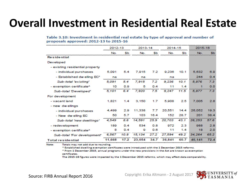## **Overall Investment in Residential Real Estate**

#### Table 3.10: Investment in residential real estate by type of approval and number of proposals approved: 2012-13 to 2015-16

|                                 | 2012-13                                |      | 2013-14 |               | 2014-15<br>--------------------       |      | -16                                             |      |
|---------------------------------|----------------------------------------|------|---------|---------------|---------------------------------------|------|-------------------------------------------------|------|
|                                 | No.                                    | SЬ   | No.     | SЬ            | No.                                   | SЬ   | No.                                             | SЬ   |
| Residential                     |                                        |      |         |               | ,,,,,,,,,,,,,,,,,,,,,,,,,,,,,,,,,,,,, |      | ,,,,,,,,,,,,,,,,,,,,,,,,,,,,,,,,,,,             |      |
| Developed                       |                                        |      |         |               |                                       |      |                                                 |      |
| - existing residential property |                                        |      |         |               |                                       |      |                                                 |      |
| - individual purchases          | 5.091                                  | 5.4  | 7.915   | 7.2           | 9.236                                 | 10.1 | 5.632                                           | 6.9  |
| - Established dw elling EC*     | na                                     |      | na      |               | na                                    |      | 244                                             | 0.4  |
| Sub-total 'existing'            | 5.091                                  | 5.4  | 7.915   | 7.2           | 9.236                                 | 10.1 | 5.876                                           | 7.3  |
| - exemption certificate^        | 10                                     | 0.9  | 5       | 0.4           | 11                                    | 14   |                                                 | 0.0  |
| Sub-total 'Developed'           | ~~~~~~~~~~~~~~~~~~~~~~~<br>5,101       | 6.4  | 7.920   | 7.5           | 9.247                                 | 11.5 | ,,,,,,,,,,,,,,,,,,,,,,,,,,,,,,,,,,,,<br>5.877   | 7.3  |
| For development                 |                                        |      |         |               |                                       |      |                                                 |      |
| - vacant land                   | 1.821                                  | 1.4  | 3.150   | 1.7           | 5,908                                 | 2.5  | 7.005                                           | 2.8  |
| - new dwellings                 |                                        |      |         |               |                                       |      |                                                 |      |
| - individual purchases          | 4.499                                  | 2.9  | 11,338  | 7.7           | 20,551                                | 14.4 | 26.052                                          | 19.3 |
| - New dwelling EC               | 50                                     | 57   | 103     | 164           | 152                                   | 28.7 | 201                                             | 38.4 |
| Sub-total 'new dwellings'       | 4.549                                  | 8.6  | 14.591  | mmmmm<br>25.9 | 20.703                                | 43.1 | ,,,,,,,,,,,,,,,,,,,,,,,,,,,,,,,,,,<br>26,253    | 57.6 |
| - redevelopment                 | 189                                    | 0.4  | 534     | 0.8           | 972                                   | 2.3  | 988                                             | 2.8  |
| - exemption certificate^        | 8                                      | 0.4  | Ω       | 0.6           | 11                                    | 1.4  | 18                                              | 2.0  |
| Sub-total 'For development'     | 6.567                                  | 10.8 | 15.134  | 27.2          | 27,594                                | 49.2 | 34.264                                          | 65.2 |
| Total residential               | ,,,,,,,,,,,,,,,,,,,,,,,,,,,,<br>11,668 | 17.2 | 23.054  | 34.7          | 36,841                                | 60.7 | ,,,,,,,,,,,,,,,,,,,,,,,,,,,,,,,,,,,,,<br>40,141 | 72.4 |

Note: Totals may not add due to rounding.

\* Established dwelling exemption certificates were introduced with the 1 December 2015 reforms.

^ From 1 December 2015, annual programs under the new provisions in the Act are known as exemption certificates.

The 2015-16 figures were impacted by the 1 December 2015 reforms, which may affect data comparability.

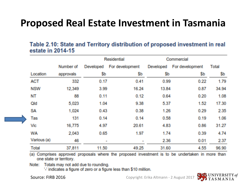## **Proposed Real Estate Investment in Tasmania**

#### Table 2.10: State and Territory distribution of proposed investment in real estate in 2014-15

|             |           | <b>Residential</b> |                 | Commercial |                 |       |
|-------------|-----------|--------------------|-----------------|------------|-----------------|-------|
|             | Number of | Developed          | For development | Developed  | For development | Total |
| Location    | approvals | \$b                | \$b             | \$b        | \$b             | \$b   |
| <b>ACT</b>  | 332       | 0.17               | 0.41            | 0.99       | 0.22            | 1.79  |
| <b>NSW</b>  | 12,349    | 3.99               | 16.24           | 13.84      | 0.87            | 34.94 |
| NT          | 88        | 0.11               | 0.12            | 0.64       | 0.20            | 1.08  |
| Qld         | 5,023     | 1.04               | 9.38            | 5.37       | 1.52            | 17.30 |
| <b>SA</b>   | 1.024     | 0.43               | 0.38            | 1.26       | 0.29            | 2.35  |
| <b>Tas</b>  | 131       | 0.14               | 0.14            | 0.58       | 0.19            | 1.06  |
| Vic         | 16,775    | 4.97               | 20.61           | 4.83       | 0.86            | 31.27 |
| <b>WA</b>   | 2,043     | 0.65               | 1.97            | 1.74       | 0.39            | 4.74  |
| Various (a) | 46        | <b>COL</b>         |                 | 2.36       | 0.01            | 2.37  |
| Total       | 37,811    | 11.50              | 49.25           | 31.60      | 4.55            | 96.90 |

(a) Comprises approved proposals where the proposed investment is to be undertaken in more than one state or territory.

Note: Totals may not add due to rounding.

"indicates a figure of zero or a figure less than \$10 million.

Source: FIRB 2016 Copyright: Erika Altmann - 2 August 2017

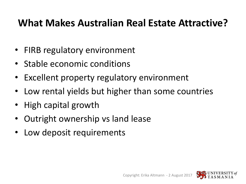## **What Makes Australian Real Estate Attractive?**

- FIRB regulatory environment
- Stable economic conditions
- Excellent property regulatory environment
- Low rental yields but higher than some countries
- High capital growth
- Outright ownership vs land lease
- Low deposit requirements

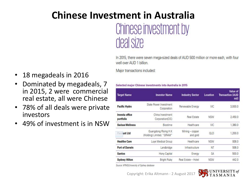## **Chinese Investment in Australia** Chinese investment by deal size

In 2015, there were seven mega-sized deals of AUD 500 million or more each, with four well over AUD 1 billion.

Major transactions included:

- 18 megadeals in 2016
- Dominated by megadeals, 7 in 2015, 2 were commercial real estate, all were Chinese
- 78% of all deals were private investors
- 49% of investment is in NSW

#### Selected major Chinese investments into Australia in 2015

| <b>Investor Name</b>                               | <b>Industry Sector</b>      | <b>Location</b> | Value of<br><b>Transaction (AUD</b><br>mil) |
|----------------------------------------------------|-----------------------------|-----------------|---------------------------------------------|
| State Power Investment<br>Corporation              | Renewable Energy            | VIC:            | 3,000.0                                     |
| China Investment<br>Corporation(CIC)               | Real Estate                 | <b>NSW</b>      | 2,450.0                                     |
| Biostime                                           | Healthcare                  | VIC.            | 1,380.0                                     |
| Guangdong Rising H.K.<br>(Holding) Limited. "GRAM" | Mining - copper<br>and gold | QLD             | 1,200.0                                     |
| Luye Medical Group                                 | Healthcare                  | <b>NSW</b>      | 938.0                                       |
| Landbridge                                         | Infrastructure              | NT              | 506.0                                       |
| Hony Capital                                       | Energy                      | <b>SA</b>       | 500.0                                       |
| <b>Bright Ruby</b>                                 | Real Estate - Hotel         | <b>NSW</b>      | 442.0                                       |
|                                                    |                             |                 |                                             |

Source: KPMG/University of Sydney database

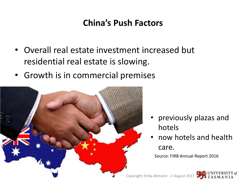### **China's Push Factors**

- Overall real estate investment increased but residential real estate is slowing.
- Growth is in commercial premises



- previously plazas and hotels
- now hotels and health care.

Source: FIRB Annual Report 2016

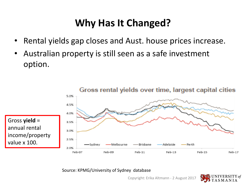## **Why Has It Changed?**

- Rental yields gap closes and Aust. house prices increase.
- Australian property is still seen as a safe investment option.



Source: KPMG/University of Sydney database

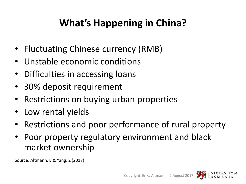## **What's Happening in China?**

- Fluctuating Chinese currency (RMB)
- Unstable economic conditions
- Difficulties in accessing loans
- 30% deposit requirement
- Restrictions on buying urban properties
- Low rental yields
- Restrictions and poor performance of rural property
- Poor property regulatory environment and black market ownership

Source: Altmann, E & Yang, Z (2017)

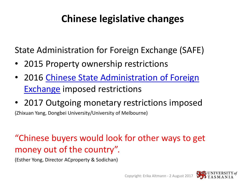## **Chinese legislative changes**

State Administration for Foreign Exchange (SAFE)

- 2015 Property ownership restrictions
- 2016 [Chinese State Administration of Foreign](http://www.safe.gov.cn/)  [Exchange](http://www.safe.gov.cn/) imposed restrictions
- 2017 Outgoing monetary restrictions imposed

(Zhixuan Yang, Dongbei University/University of Melbourne)

### "Chinese buyers would look for other ways to get money out of the country".

(Esther Yong, Director ACproperty & Sodichan)

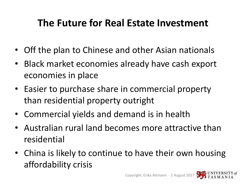## **The Future for Real Estate Investment**

- Off the plan to Chinese and other Asian nationals
- Black market economies already have cash export economies in place
- Easier to purchase share in commercial property than residential property outright
- Commercial yields and demand is in health
- Australian rural land becomes more attractive than residential
- China is likely to continue to have their own housing affordability crisis

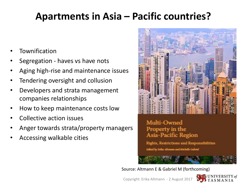## **Apartments in Asia – Pacific countries?**

- **Townification**
- Segregation haves vs have nots
- Aging high-rise and maintenance issues
- Tendering oversight and collusion
- Developers and strata management companies relationships
- How to keep maintenance costs low
- Collective action issues
- Anger towards strata/property managers
- Accessing walkable cities



Property in the Asia-Pacific Region

Rights, Restrictions and Responsibilities **Edited** by Frike Altmony and Michelle Galviel

Source: Altmann E & Gabriel M (forthcoming)

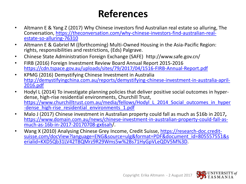## **References**

- Altmann E & Yang Z (2017) Why Chinese investors find Australian real estate so alluring, The Conversation, [https://theconversation.com/why-chinese-investors-find-australian-real](https://theconversation.com/why-chinese-investors-find-australian-real-estate-so-alluring-76310)[estate-so-alluring-76310](https://theconversation.com/why-chinese-investors-find-australian-real-estate-so-alluring-76310)
- Altmann E & Gabriel M ((forthcoming) Multi-Owned Housing in the Asia-Pacific Region: rights, responsibilities and restrictions, (Eds) Palgrave.
- Chinese State Administration Foreign Exchange (SAFE) http://www.safe.gov.cn/
- FIRB (2016) Foreign Investment Review Board Annual Report 2015-2016 <https://cdn.tspace.gov.au/uploads/sites/79/2017/04/1516-FIRB-Annual-Report.pdf>
- KPMG (2016) Demystifying Chinese Investment in Australia [http://demystifyingchina.com.au/reports/demystifying-chinese-investment-in-australia-april-](http://demystifyingchina.com.au/reports/demystifying-chinese-investment-in-australia-april-2016.pdf)[2016.pdf](http://demystifyingchina.com.au/reports/demystifying-chinese-investment-in-australia-april-2016.pdf)
- Hodyl L (2014) To investigate planning policies that deliver positive social outcomes in hyperdense, high-rise residential environments, Churchill Trust, [https://www.churchilltrust.com.au/media/fellows/Hodyl\\_L\\_2014\\_Social\\_outcomes\\_in\\_hyper](https://www.churchilltrust.com.au/media/fellows/Hodyl_L_2014_Social_outcomes_in_hyper-dense_high-rise_residential_environments_1.pdf) -dense high-rise residential environments 1.pdf
- Malo J (2017) Chinese investment in Australian property could fall as much as \$16b in 2017**,**  [https://www.domain.com.au/news/chinese-investment-in-australian-property-could-fall-as](https://www.domain.com.au/news/chinese-investment-in-australian-property-could-fall-as-much-as-16b-in-2017-20170708-gx6sah/)[much-as-16b-in-2017-20170708-gx6sah](https://www.domain.com.au/news/chinese-investment-in-australian-property-could-fall-as-much-as-16b-in-2017-20170708-gx6sah/)/.
- Wang X (2010) Analysing Chinese Grey Income, Credit Suisse, [https://research-doc.credit](https://research-doc.credit-suisse.com/docView?language=ENG&source=ulg&format=PDF&document_id=805557551&serialid=KXD5Qb31LV42TBQMrz9R29Wms5w+s71HyGpVLeQDV5M=)[suisse.com/docView?language=ENG&source=ulg&format=PDF&document\\_id=805557551&s](https://research-doc.credit-suisse.com/docView?language=ENG&source=ulg&format=PDF&document_id=805557551&serialid=KXD5Qb31LV42TBQMrz9R29Wms5w+s71HyGpVLeQDV5M=) [erialid=KXD5Qb31LV42TBQMrz9R29Wms5w%2Bs71HyGpVLeQDV5M%3D](https://research-doc.credit-suisse.com/docView?language=ENG&source=ulg&format=PDF&document_id=805557551&serialid=KXD5Qb31LV42TBQMrz9R29Wms5w+s71HyGpVLeQDV5M=).